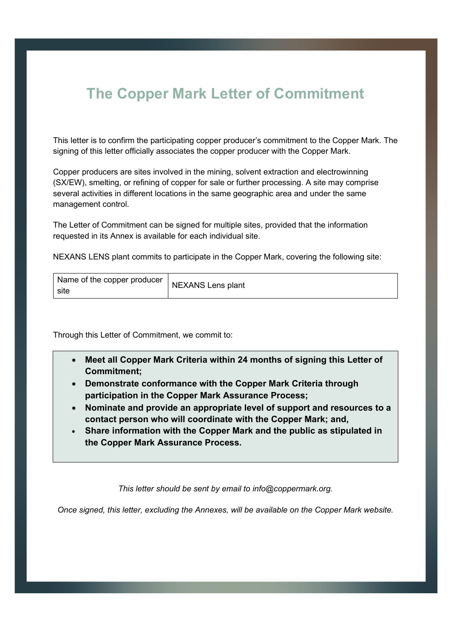## **The Copper Mark Letter of Commitment**

This letter is to confirm the participating copper producer's commitment to the Copper Mark. The signing of this letter officially associates the copper producer with the Copper Mark.

Copper producers are sites involved in the mining, solvent extraction and electrowinning (SX/EW), smelting, or refining of copper for sale or further processing. A site may comprise several activities in different locations in the same geographic area and under the same management control.

The Letter of Commitment can be signed for multiple sites, provided that the information requested in its Annex is available for each individual site.

NEXANS LENS plant commits to participate in the Copper Mark, covering the following site:

| Name of the copper producer<br>site | NEXANS Lens plant |
|-------------------------------------|-------------------|
|-------------------------------------|-------------------|

Through this Letter of Commitment, we commit to:

- **Meet all Copper Mark Criteria within 24 months of signing this Letter of Commitment;**
- **Demonstrate conformance with the Copper Mark Criteria through participation in the Copper Mark Assurance Process;**
- **Nominate and provide an appropriate level of support and resources to a contact person who will coordinate with the Copper Mark; and,**
- **Share information with the Copper Mark and the public as stipulated in the Copper Mark Assurance Process.**

*This letter should be sent by email to info@coppermark.org.* 

*Once signed, this letter, excluding the Annexes, will be available on the Copper Mark website.*